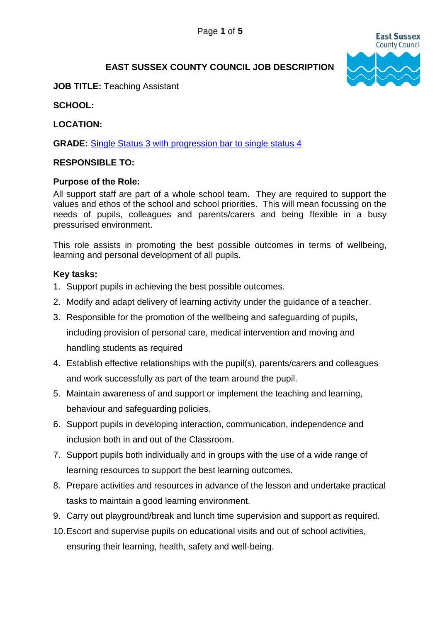

# **EAST SUSSEX COUNTY COUNCIL JOB DESCRIPTION**

**JOB TITLE:** Teaching Assistant

**SCHOOL:**

**LOCATION:**

**GRADE:** [Single Status 3 with progression bar to single status 4](https://new.eastsussex.gov.uk/jobs/benefits/east-sussex-single-status)

### **RESPONSIBLE TO:**

#### **Purpose of the Role:**

All support staff are part of a whole school team. They are required to support the values and ethos of the school and school priorities. This will mean focussing on the needs of pupils, colleagues and parents/carers and being flexible in a busy pressurised environment.

This role assists in promoting the best possible outcomes in terms of wellbeing, learning and personal development of all pupils.

### **Key tasks:**

- 1. Support pupils in achieving the best possible outcomes.
- 2. Modify and adapt delivery of learning activity under the guidance of a teacher.
- 3. Responsible for the promotion of the wellbeing and safeguarding of pupils, including provision of personal care, medical intervention and moving and handling students as required
- 4. Establish effective relationships with the pupil(s), parents/carers and colleagues and work successfully as part of the team around the pupil.
- 5. Maintain awareness of and support or implement the teaching and learning, behaviour and safeguarding policies.
- 6. Support pupils in developing interaction, communication, independence and inclusion both in and out of the Classroom.
- 7. Support pupils both individually and in groups with the use of a wide range of learning resources to support the best learning outcomes.
- 8. Prepare activities and resources in advance of the lesson and undertake practical tasks to maintain a good learning environment.
- 9. Carry out playground/break and lunch time supervision and support as required.
- 10.Escort and supervise pupils on educational visits and out of school activities, ensuring their learning, health, safety and well-being.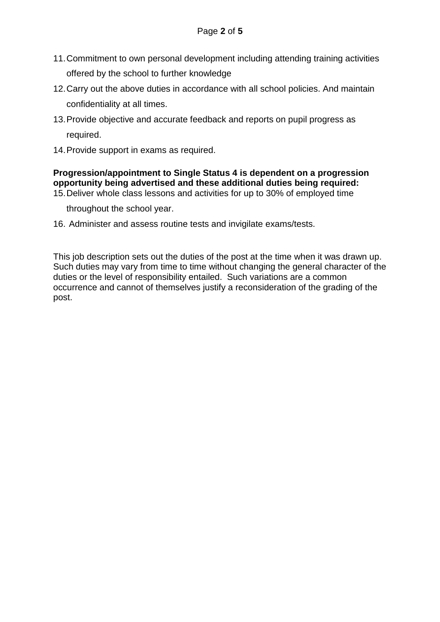- 11.Commitment to own personal development including attending training activities offered by the school to further knowledge
- 12.Carry out the above duties in accordance with all school policies. And maintain confidentiality at all times.
- 13.Provide objective and accurate feedback and reports on pupil progress as required.
- 14.Provide support in exams as required.

**Progression/appointment to Single Status 4 is dependent on a progression opportunity being advertised and these additional duties being required:**

15.Deliver whole class lessons and activities for up to 30% of employed time

throughout the school year.

16. Administer and assess routine tests and invigilate exams/tests.

This job description sets out the duties of the post at the time when it was drawn up. Such duties may vary from time to time without changing the general character of the duties or the level of responsibility entailed. Such variations are a common occurrence and cannot of themselves justify a reconsideration of the grading of the post.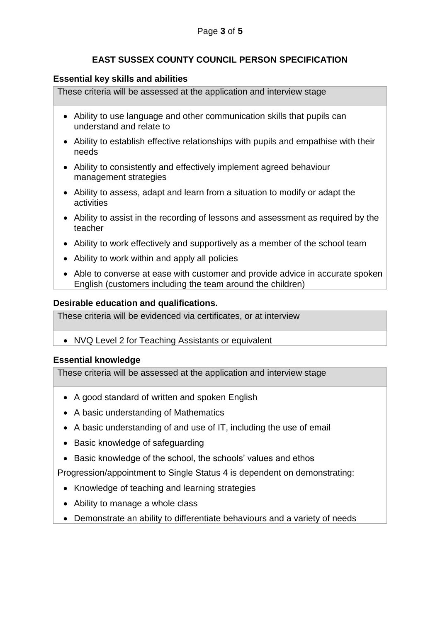# **EAST SUSSEX COUNTY COUNCIL PERSON SPECIFICATION**

## **Essential key skills and abilities**

These criteria will be assessed at the application and interview stage

- Ability to use language and other communication skills that pupils can understand and relate to
- Ability to establish effective relationships with pupils and empathise with their needs
- Ability to consistently and effectively implement agreed behaviour management strategies
- Ability to assess, adapt and learn from a situation to modify or adapt the activities
- Ability to assist in the recording of lessons and assessment as required by the teacher
- Ability to work effectively and supportively as a member of the school team
- Ability to work within and apply all policies
- Able to converse at ease with customer and provide advice in accurate spoken English (customers including the team around the children)

# **Desirable education and qualifications.**

These criteria will be evidenced via certificates, or at interview

• NVQ Level 2 for Teaching Assistants or equivalent

# **Essential knowledge**

These criteria will be assessed at the application and interview stage

- A good standard of written and spoken English
- A basic understanding of Mathematics
- A basic understanding of and use of IT, including the use of email
- Basic knowledge of safeguarding
- Basic knowledge of the school, the schools' values and ethos

Progression/appointment to Single Status 4 is dependent on demonstrating:

- Knowledge of teaching and learning strategies
- Ability to manage a whole class
- Demonstrate an ability to differentiate behaviours and a variety of needs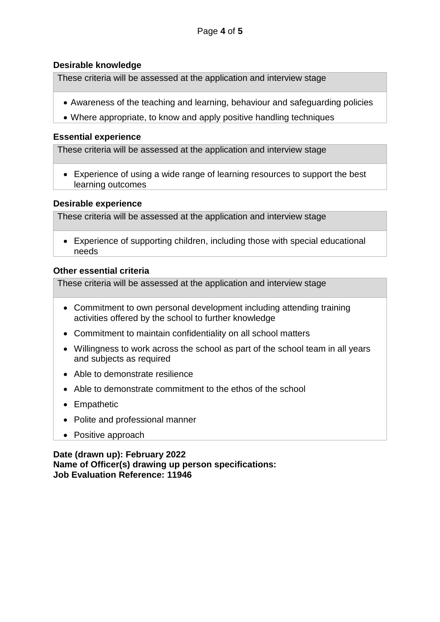## **Desirable knowledge**

These criteria will be assessed at the application and interview stage

- Awareness of the teaching and learning, behaviour and safeguarding policies
- Where appropriate, to know and apply positive handling techniques

#### **Essential experience**

These criteria will be assessed at the application and interview stage

 Experience of using a wide range of learning resources to support the best learning outcomes

### **Desirable experience**

These criteria will be assessed at the application and interview stage

 Experience of supporting children, including those with special educational needs

### **Other essential criteria**

These criteria will be assessed at the application and interview stage

- Commitment to own personal development including attending training activities offered by the school to further knowledge
- Commitment to maintain confidentiality on all school matters
- Willingness to work across the school as part of the school team in all years and subjects as required
- Able to demonstrate resilience
- Able to demonstrate commitment to the ethos of the school
- Empathetic
- Polite and professional manner
- Positive approach

**Date (drawn up): February 2022 Name of Officer(s) drawing up person specifications: Job Evaluation Reference: 11946**